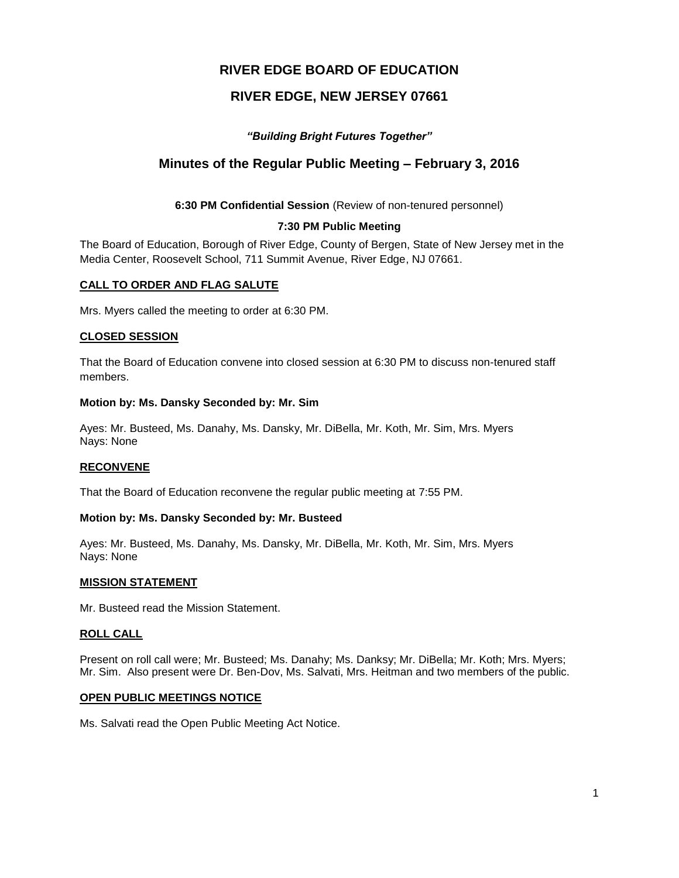# **RIVER EDGE BOARD OF EDUCATION**

# **RIVER EDGE, NEW JERSEY 07661**

# *"Building Bright Futures Together"*

# **Minutes of the Regular Public Meeting – February 3, 2016**

**6:30 PM Confidential Session** (Review of non-tenured personnel)

## **7:30 PM Public Meeting**

The Board of Education, Borough of River Edge, County of Bergen, State of New Jersey met in the Media Center, Roosevelt School, 711 Summit Avenue, River Edge, NJ 07661.

## **CALL TO ORDER AND FLAG SALUTE**

Mrs. Myers called the meeting to order at 6:30 PM.

#### **CLOSED SESSION**

That the Board of Education convene into closed session at 6:30 PM to discuss non-tenured staff members.

## **Motion by: Ms. Dansky Seconded by: Mr. Sim**

Ayes: Mr. Busteed, Ms. Danahy, Ms. Dansky, Mr. DiBella, Mr. Koth, Mr. Sim, Mrs. Myers Nays: None

#### **RECONVENE**

That the Board of Education reconvene the regular public meeting at 7:55 PM.

#### **Motion by: Ms. Dansky Seconded by: Mr. Busteed**

Ayes: Mr. Busteed, Ms. Danahy, Ms. Dansky, Mr. DiBella, Mr. Koth, Mr. Sim, Mrs. Myers Nays: None

#### **MISSION STATEMENT**

Mr. Busteed read the Mission Statement.

#### **ROLL CALL**

Present on roll call were; Mr. Busteed; Ms. Danahy; Ms. Danksy; Mr. DiBella; Mr. Koth; Mrs. Myers; Mr. Sim. Also present were Dr. Ben-Dov, Ms. Salvati, Mrs. Heitman and two members of the public.

#### **OPEN PUBLIC MEETINGS NOTICE**

Ms. Salvati read the Open Public Meeting Act Notice.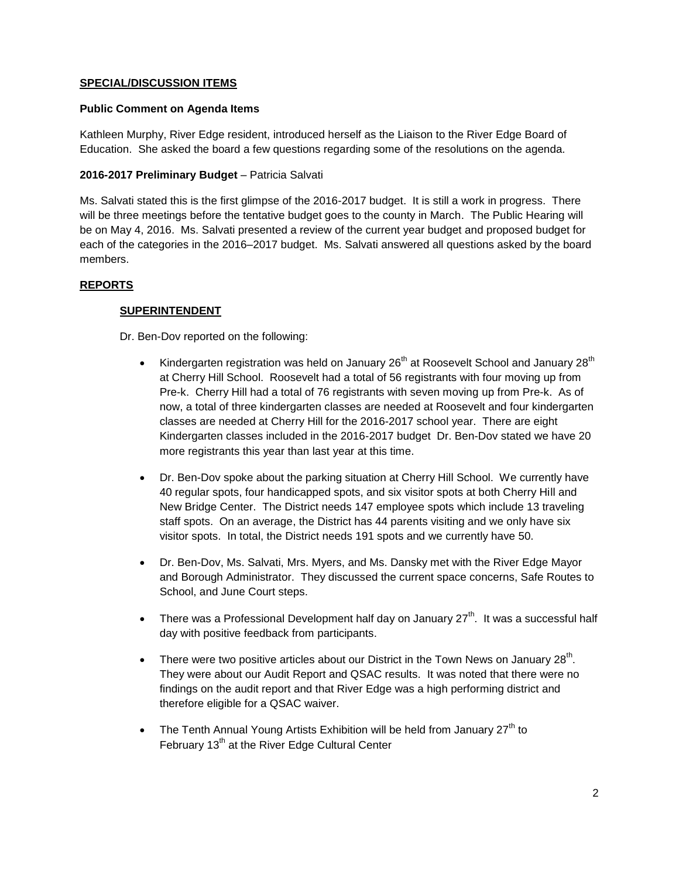## **SPECIAL/DISCUSSION ITEMS**

#### **Public Comment on Agenda Items**

Kathleen Murphy, River Edge resident, introduced herself as the Liaison to the River Edge Board of Education. She asked the board a few questions regarding some of the resolutions on the agenda.

## **2016-2017 Preliminary Budget** – Patricia Salvati

Ms. Salvati stated this is the first glimpse of the 2016-2017 budget. It is still a work in progress. There will be three meetings before the tentative budget goes to the county in March. The Public Hearing will be on May 4, 2016. Ms. Salvati presented a review of the current year budget and proposed budget for each of the categories in the 2016–2017 budget. Ms. Salvati answered all questions asked by the board members.

## **REPORTS**

## **SUPERINTENDENT**

Dr. Ben-Dov reported on the following:

- Kindergarten registration was held on January  $26<sup>th</sup>$  at Roosevelt School and January  $28<sup>th</sup>$ at Cherry Hill School. Roosevelt had a total of 56 registrants with four moving up from Pre-k. Cherry Hill had a total of 76 registrants with seven moving up from Pre-k. As of now, a total of three kindergarten classes are needed at Roosevelt and four kindergarten classes are needed at Cherry Hill for the 2016-2017 school year. There are eight Kindergarten classes included in the 2016-2017 budget Dr. Ben-Dov stated we have 20 more registrants this year than last year at this time.
- Dr. Ben-Dov spoke about the parking situation at Cherry Hill School. We currently have 40 regular spots, four handicapped spots, and six visitor spots at both Cherry Hill and New Bridge Center. The District needs 147 employee spots which include 13 traveling staff spots. On an average, the District has 44 parents visiting and we only have six visitor spots. In total, the District needs 191 spots and we currently have 50.
- Dr. Ben-Dov, Ms. Salvati, Mrs. Myers, and Ms. Dansky met with the River Edge Mayor and Borough Administrator. They discussed the current space concerns, Safe Routes to School, and June Court steps.
- There was a Professional Development half day on January  $27<sup>th</sup>$ . It was a successful half day with positive feedback from participants.
- There were two positive articles about our District in the Town News on January 28<sup>th</sup>. They were about our Audit Report and QSAC results. It was noted that there were no findings on the audit report and that River Edge was a high performing district and therefore eligible for a QSAC waiver.
- The Tenth Annual Young Artists Exhibition will be held from January  $27<sup>th</sup>$  to February  $13<sup>th</sup>$  at the River Edge Cultural Center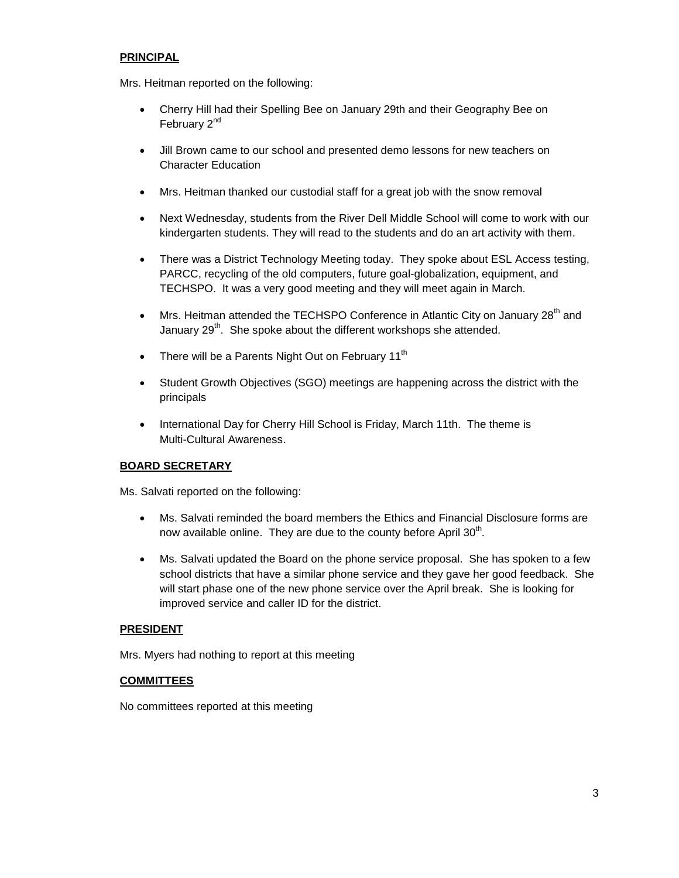## **PRINCIPAL**

Mrs. Heitman reported on the following:

- Cherry Hill had their Spelling Bee on January 29th and their Geography Bee on February 2<sup>nd</sup>
- Jill Brown came to our school and presented demo lessons for new teachers on Character Education
- Mrs. Heitman thanked our custodial staff for a great job with the snow removal
- Next Wednesday, students from the River Dell Middle School will come to work with our kindergarten students. They will read to the students and do an art activity with them.
- There was a District Technology Meeting today. They spoke about ESL Access testing, PARCC, recycling of the old computers, future goal-globalization, equipment, and TECHSPO. It was a very good meeting and they will meet again in March.
- $\bullet$  Mrs. Heitman attended the TECHSPO Conference in Atlantic City on January 28<sup>th</sup> and January 29<sup>th</sup>. She spoke about the different workshops she attended.
- There will be a Parents Night Out on February  $11<sup>th</sup>$
- Student Growth Objectives (SGO) meetings are happening across the district with the principals
- International Day for Cherry Hill School is Friday, March 11th. The theme is Multi-Cultural Awareness.

## **BOARD SECRETARY**

Ms. Salvati reported on the following:

- Ms. Salvati reminded the board members the Ethics and Financial Disclosure forms are now available online. They are due to the county before April  $30<sup>th</sup>$ .
- Ms. Salvati updated the Board on the phone service proposal. She has spoken to a few school districts that have a similar phone service and they gave her good feedback. She will start phase one of the new phone service over the April break. She is looking for improved service and caller ID for the district.

#### **PRESIDENT**

Mrs. Myers had nothing to report at this meeting

#### **COMMITTEES**

No committees reported at this meeting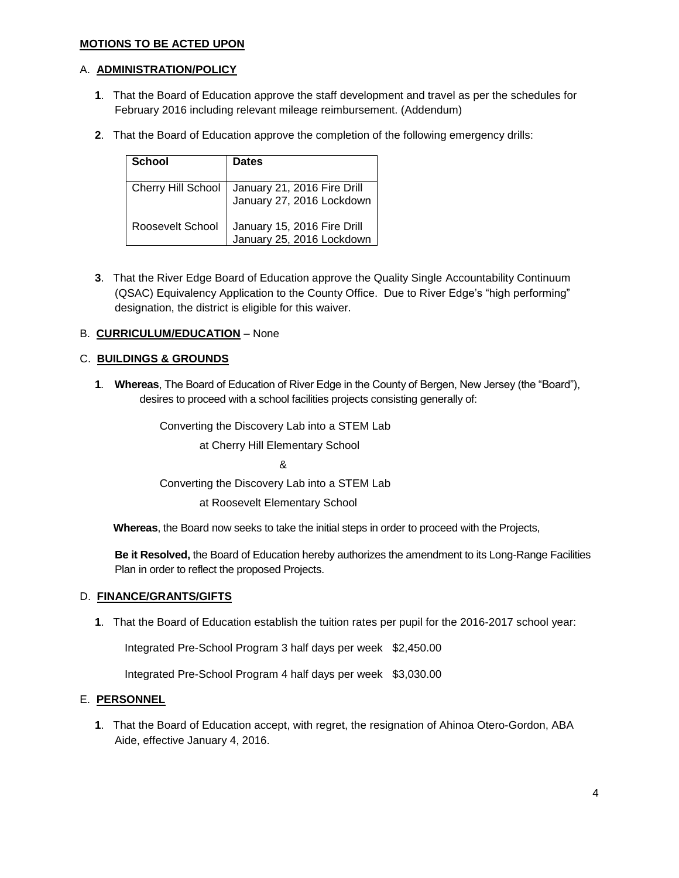## **MOTIONS TO BE ACTED UPON**

## A. **ADMINISTRATION/POLICY**

- **1**. That the Board of Education approve the staff development and travel as per the schedules for February 2016 including relevant mileage reimbursement. (Addendum)
- **2**. That the Board of Education approve the completion of the following emergency drills:

| School                    | <b>Dates</b>                                             |
|---------------------------|----------------------------------------------------------|
| <b>Cherry Hill School</b> | January 21, 2016 Fire Drill<br>January 27, 2016 Lockdown |
| Roosevelt School          | January 15, 2016 Fire Drill<br>January 25, 2016 Lockdown |

**3**. That the River Edge Board of Education approve the Quality Single Accountability Continuum (QSAC) Equivalency Application to the County Office. Due to River Edge's "high performing" designation, the district is eligible for this waiver.

## B. **CURRICULUM/EDUCATION** – None

## C. **BUILDINGS & GROUNDS**

**1**. **Whereas**, The Board of Education of River Edge in the County of Bergen, New Jersey (the "Board"), desires to proceed with a school facilities projects consisting generally of:

Converting the Discovery Lab into a STEM Lab

at Cherry Hill Elementary School

&

Converting the Discovery Lab into a STEM Lab

at Roosevelt Elementary School

 **Whereas**, the Board now seeks to take the initial steps in order to proceed with the Projects,

**Be it Resolved,** the Board of Education hereby authorizes the amendment to its Long-Range Facilities Plan in order to reflect the proposed Projects.

#### D. **FINANCE/GRANTS/GIFTS**

**1**. That the Board of Education establish the tuition rates per pupil for the 2016-2017 school year:

Integrated Pre-School Program 3 half days per week \$2,450.00

Integrated Pre-School Program 4 half days per week \$3,030.00

#### E. **PERSONNEL**

**1**. That the Board of Education accept, with regret, the resignation of Ahinoa Otero-Gordon, ABA Aide, effective January 4, 2016.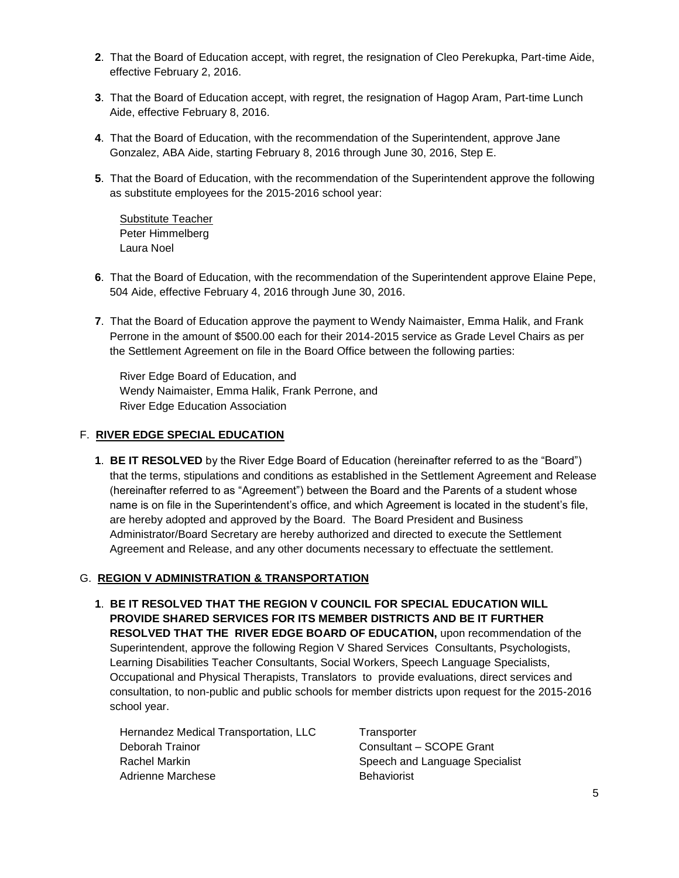- **2**.That the Board of Education accept, with regret, the resignation of Cleo Perekupka, Part-time Aide, effective February 2, 2016.
- **3**. That the Board of Education accept, with regret, the resignation of Hagop Aram, Part-time Lunch Aide, effective February 8, 2016.
- **4**. That the Board of Education, with the recommendation of the Superintendent, approve Jane Gonzalez, ABA Aide, starting February 8, 2016 through June 30, 2016, Step E.
- **5**. That the Board of Education, with the recommendation of the Superintendent approve the following as substitute employees for the 2015-2016 school year:

Substitute Teacher Peter Himmelberg Laura Noel

- **6**. That the Board of Education, with the recommendation of the Superintendent approve Elaine Pepe, 504 Aide, effective February 4, 2016 through June 30, 2016.
- **7**.That the Board of Education approve the payment to Wendy Naimaister, Emma Halik, and Frank Perrone in the amount of \$500.00 each for their 2014-2015 service as Grade Level Chairs as per the Settlement Agreement on file in the Board Office between the following parties:

 River Edge Board of Education, and Wendy Naimaister, Emma Halik, Frank Perrone, and River Edge Education Association

# F. **RIVER EDGE SPECIAL EDUCATION**

**1**. **BE IT RESOLVED** by the River Edge Board of Education (hereinafter referred to as the "Board") that the terms, stipulations and conditions as established in the Settlement Agreement and Release (hereinafter referred to as "Agreement") between the Board and the Parents of a student whose name is on file in the Superintendent's office, and which Agreement is located in the student's file, are hereby adopted and approved by the Board. The Board President and Business Administrator/Board Secretary are hereby authorized and directed to execute the Settlement Agreement and Release, and any other documents necessary to effectuate the settlement.

## G. **REGION V ADMINISTRATION & TRANSPORTATION**

**1**. **BE IT RESOLVED THAT THE REGION V COUNCIL FOR SPECIAL EDUCATION WILL PROVIDE SHARED SERVICES FOR ITS MEMBER DISTRICTS AND BE IT FURTHER RESOLVED THAT THE RIVER EDGE BOARD OF EDUCATION,** upon recommendation of the Superintendent, approve the following Region V Shared Services Consultants, Psychologists, Learning Disabilities Teacher Consultants, Social Workers, Speech Language Specialists, Occupational and Physical Therapists, Translators to provide evaluations, direct services and consultation, to non-public and public schools for member districts upon request for the 2015-2016 school year.

Hernandez Medical Transportation, LLC Transporter Deborah Trainor Consultant – SCOPE Grant Rachel Markin **Speech and Language Specialist** Speech and Language Specialist Adrienne Marchese **Behaviorist**